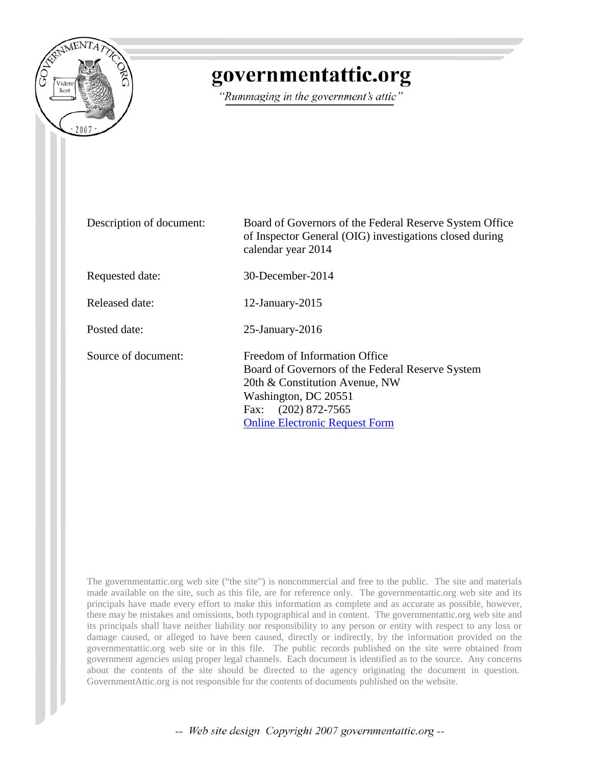

## governmentattic.org

"Rummaging in the government's attic"

| Description of document: | Board of Governors of the Federal Reserve System Office<br>of Inspector General (OIG) investigations closed during<br>calendar year 2014                                                                    |  |
|--------------------------|-------------------------------------------------------------------------------------------------------------------------------------------------------------------------------------------------------------|--|
| Requested date:          | 30-December-2014                                                                                                                                                                                            |  |
| Released date:           | $12$ -January- $2015$                                                                                                                                                                                       |  |
| Posted date:             | $25$ -January- $2016$                                                                                                                                                                                       |  |
| Source of document:      | Freedom of Information Office<br>Board of Governors of the Federal Reserve System<br>20th & Constitution Avenue, NW<br>Washington, DC 20551<br>Fax: (202) 872-7565<br><b>Online Electronic Request Form</b> |  |

The governmentattic.org web site ("the site") is noncommercial and free to the public. The site and materials made available on the site, such as this file, are for reference only. The governmentattic.org web site and its principals have made every effort to make this information as complete and as accurate as possible, however, there may be mistakes and omissions, both typographical and in content. The governmentattic.org web site and its principals shall have neither liability nor responsibility to any person or entity with respect to any loss or damage caused, or alleged to have been caused, directly or indirectly, by the information provided on the governmentattic.org web site or in this file. The public records published on the site were obtained from government agencies using proper legal channels. Each document is identified as to the source. Any concerns about the contents of the site should be directed to the agency originating the document in question. GovernmentAttic.org is not responsible for the contents of documents published on the website.

-- Web site design Copyright 2007 governmentattic.org --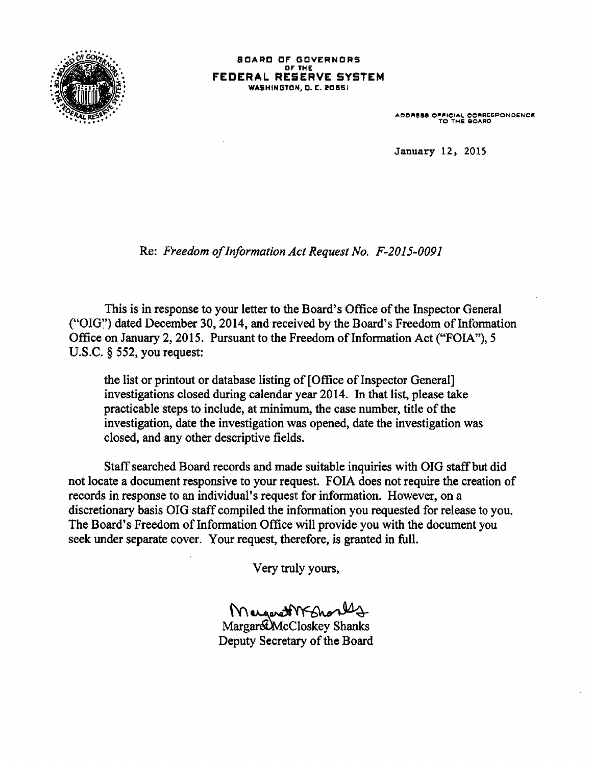

SOARC CF' GOVERNORS or THE **FEDERAL RESERVE SYSTEM**  WASHINGTON, D. C. 20551

ADDRESS OFFICIAL CORRESPONDENCE<br>TO THE BOARD

January 12, 2015

Re: *Freedom of Information Act Request No. F-2015-0091* 

This is in response to your letter to the Board's Office of the Inspector General ("OIG~') dated December 30, 2014, and received by the Board's Freedom of Information Office on January 2, 2015. Pursuant to the Freedom of Information Act ("FOIA''), 5 U.S.C. § 552, you request:

the list or printout or database listing of [Office of Inspector General] investigations closed during calendar year 2014. In that list, please take practicable steps to include, at minimum, the case number, title of the investigation, date the investigation was opened, date the investigation was closed, and any other descriptive fields.

Staff searched Board records and made suitable inquiries with OIG staff but did not locate a document responsive to your request. FOIA does not require the creation of records in response to an individual's request for information. However, on a discretionary basis 010 staff compiled the information you requested for release to you. The Board's Freedom of Information Office will provide you with the document you seek under separate cover. Your request, therefore, is granted in full.

Very truly yours,

MargardWFShort4

Deputy Secretary of the Board